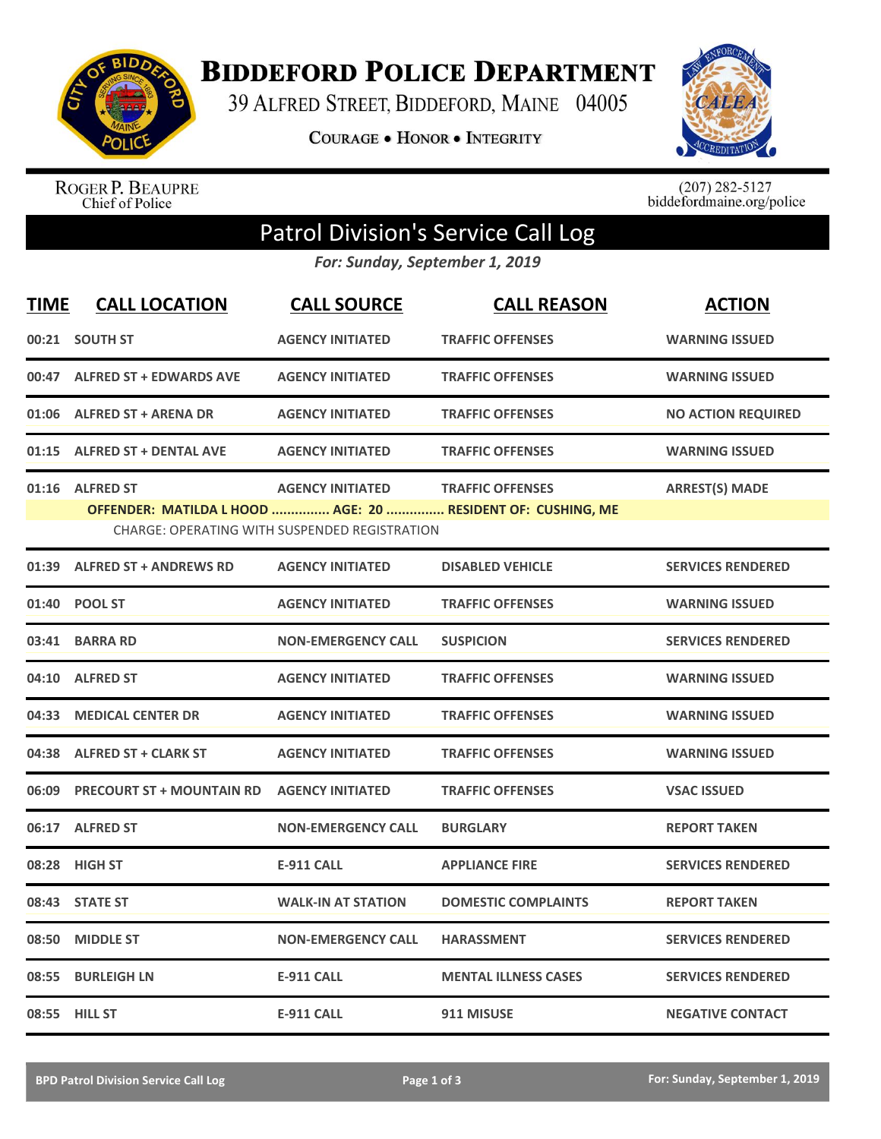

**BIDDEFORD POLICE DEPARTMENT** 

39 ALFRED STREET, BIDDEFORD, MAINE 04005

**COURAGE . HONOR . INTEGRITY** 



ROGER P. BEAUPRE<br>Chief of Police

 $(207)$  282-5127<br>biddefordmaine.org/police

## Patrol Division's Service Call Log

*For: Sunday, September 1, 2019*

| <b>TIME</b> | <b>CALL LOCATION</b>             | <b>CALL SOURCE</b>                                                              | <b>CALL REASON</b>                                                                     | <b>ACTION</b>             |
|-------------|----------------------------------|---------------------------------------------------------------------------------|----------------------------------------------------------------------------------------|---------------------------|
|             | 00:21 SOUTH ST                   | <b>AGENCY INITIATED</b>                                                         | <b>TRAFFIC OFFENSES</b>                                                                | <b>WARNING ISSUED</b>     |
|             | 00:47 ALFRED ST + EDWARDS AVE    | <b>AGENCY INITIATED</b>                                                         | <b>TRAFFIC OFFENSES</b>                                                                | <b>WARNING ISSUED</b>     |
|             | 01:06 ALFRED ST + ARENA DR       | <b>AGENCY INITIATED</b>                                                         | <b>TRAFFIC OFFENSES</b>                                                                | <b>NO ACTION REQUIRED</b> |
| 01:15       | <b>ALFRED ST + DENTAL AVE</b>    | <b>AGENCY INITIATED</b>                                                         | <b>TRAFFIC OFFENSES</b>                                                                | <b>WARNING ISSUED</b>     |
|             | 01:16 ALFRED ST                  | <b>AGENCY INITIATED</b><br><b>CHARGE: OPERATING WITH SUSPENDED REGISTRATION</b> | <b>TRAFFIC OFFENSES</b><br>OFFENDER: MATILDA L HOOD  AGE: 20  RESIDENT OF: CUSHING, ME | <b>ARREST(S) MADE</b>     |
|             | 01:39 ALFRED ST + ANDREWS RD     | <b>AGENCY INITIATED</b>                                                         | <b>DISABLED VEHICLE</b>                                                                | <b>SERVICES RENDERED</b>  |
| 01:40       | <b>POOL ST</b>                   | <b>AGENCY INITIATED</b>                                                         | <b>TRAFFIC OFFENSES</b>                                                                | <b>WARNING ISSUED</b>     |
| 03:41       | <b>BARRA RD</b>                  | <b>NON-EMERGENCY CALL</b>                                                       | <b>SUSPICION</b>                                                                       | <b>SERVICES RENDERED</b>  |
| 04:10       | <b>ALFRED ST</b>                 | <b>AGENCY INITIATED</b>                                                         | <b>TRAFFIC OFFENSES</b>                                                                | <b>WARNING ISSUED</b>     |
| 04:33       | <b>MEDICAL CENTER DR</b>         | <b>AGENCY INITIATED</b>                                                         | <b>TRAFFIC OFFENSES</b>                                                                | <b>WARNING ISSUED</b>     |
|             | 04:38 ALFRED ST + CLARK ST       | <b>AGENCY INITIATED</b>                                                         | <b>TRAFFIC OFFENSES</b>                                                                | <b>WARNING ISSUED</b>     |
| 06:09       | <b>PRECOURT ST + MOUNTAIN RD</b> | <b>AGENCY INITIATED</b>                                                         | <b>TRAFFIC OFFENSES</b>                                                                | <b>VSAC ISSUED</b>        |
| 06:17       | <b>ALFRED ST</b>                 | <b>NON-EMERGENCY CALL</b>                                                       | <b>BURGLARY</b>                                                                        | <b>REPORT TAKEN</b>       |
| 08:28       | <b>HIGH ST</b>                   | <b>E-911 CALL</b>                                                               | <b>APPLIANCE FIRE</b>                                                                  | <b>SERVICES RENDERED</b>  |
| 08:43       | <b>STATE ST</b>                  | <b>WALK-IN AT STATION</b>                                                       | <b>DOMESTIC COMPLAINTS</b>                                                             | <b>REPORT TAKEN</b>       |
| 08:50       | <b>MIDDLE ST</b>                 | <b>NON-EMERGENCY CALL</b>                                                       | <b>HARASSMENT</b>                                                                      | <b>SERVICES RENDERED</b>  |
| 08:55       | <b>BURLEIGH LN</b>               | <b>E-911 CALL</b>                                                               | <b>MENTAL ILLNESS CASES</b>                                                            | <b>SERVICES RENDERED</b>  |
|             | 08:55 HILL ST                    | <b>E-911 CALL</b>                                                               | 911 MISUSE                                                                             | <b>NEGATIVE CONTACT</b>   |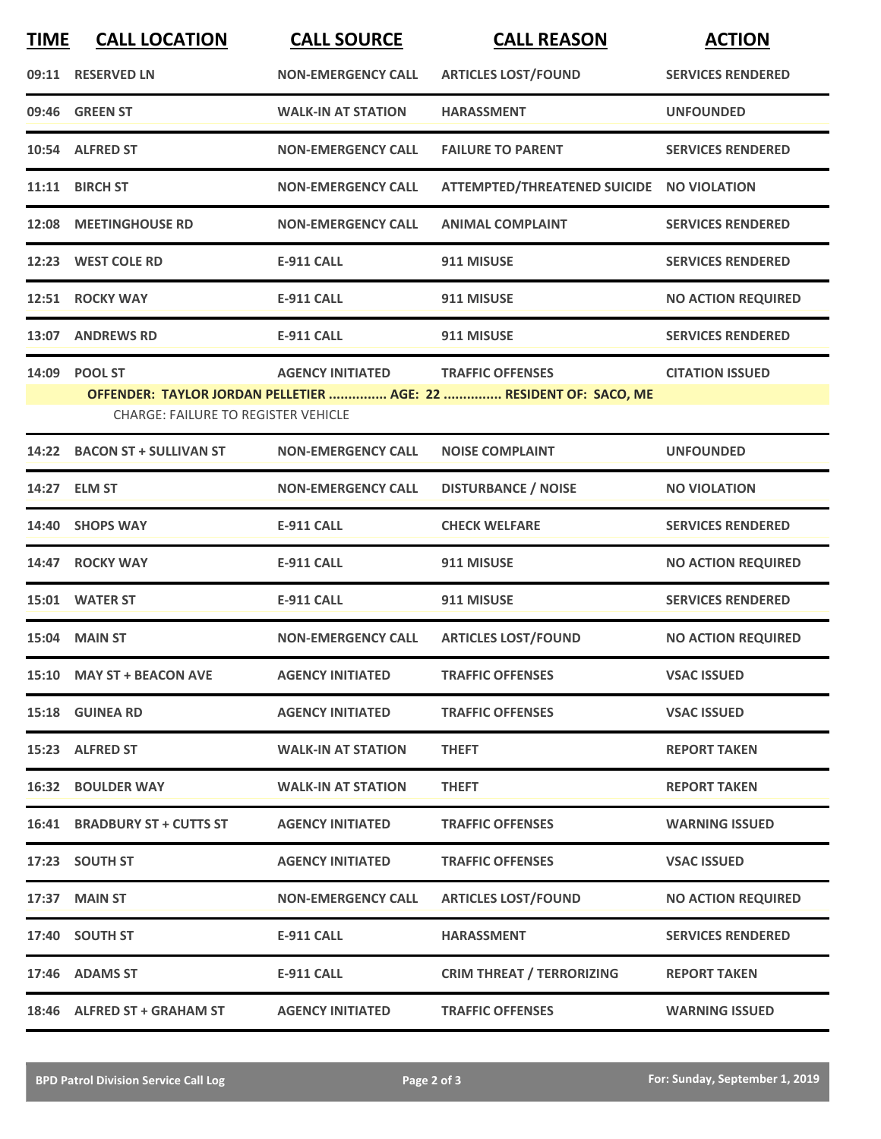| <b>TIME</b> | <b>CALL LOCATION</b>                                        | <b>CALL SOURCE</b>        | <b>CALL REASON</b>                                                                           | <b>ACTION</b>             |
|-------------|-------------------------------------------------------------|---------------------------|----------------------------------------------------------------------------------------------|---------------------------|
|             | 09:11 RESERVED LN                                           | <b>NON-EMERGENCY CALL</b> | <b>ARTICLES LOST/FOUND</b>                                                                   | <b>SERVICES RENDERED</b>  |
|             | 09:46 GREEN ST                                              | <b>WALK-IN AT STATION</b> | <b>HARASSMENT</b>                                                                            | <b>UNFOUNDED</b>          |
|             | 10:54 ALFRED ST                                             | <b>NON-EMERGENCY CALL</b> | <b>FAILURE TO PARENT</b>                                                                     | <b>SERVICES RENDERED</b>  |
|             | 11:11 BIRCH ST                                              | <b>NON-EMERGENCY CALL</b> | ATTEMPTED/THREATENED SUICIDE NO VIOLATION                                                    |                           |
|             | 12:08 MEETINGHOUSE RD                                       | <b>NON-EMERGENCY CALL</b> | <b>ANIMAL COMPLAINT</b>                                                                      | <b>SERVICES RENDERED</b>  |
|             | 12:23 WEST COLE RD                                          | <b>E-911 CALL</b>         | 911 MISUSE                                                                                   | <b>SERVICES RENDERED</b>  |
|             | 12:51 ROCKY WAY                                             | <b>E-911 CALL</b>         | 911 MISUSE                                                                                   | <b>NO ACTION REQUIRED</b> |
| 13:07       | <b>ANDREWS RD</b>                                           | <b>E-911 CALL</b>         | 911 MISUSE                                                                                   | <b>SERVICES RENDERED</b>  |
|             | 14:09 POOL ST<br><b>CHARGE: FAILURE TO REGISTER VEHICLE</b> | <b>AGENCY INITIATED</b>   | <b>TRAFFIC OFFENSES</b><br>OFFENDER: TAYLOR JORDAN PELLETIER  AGE: 22  RESIDENT OF: SACO, ME | <b>CITATION ISSUED</b>    |
|             | 14:22 BACON ST + SULLIVAN ST                                | <b>NON-EMERGENCY CALL</b> | <b>NOISE COMPLAINT</b>                                                                       | <b>UNFOUNDED</b>          |
|             | 14:27 ELM ST                                                | <b>NON-EMERGENCY CALL</b> | <b>DISTURBANCE / NOISE</b>                                                                   | <b>NO VIOLATION</b>       |
|             | 14:40 SHOPS WAY                                             | <b>E-911 CALL</b>         | <b>CHECK WELFARE</b>                                                                         | <b>SERVICES RENDERED</b>  |
| 14:47       | <b>ROCKY WAY</b>                                            | <b>E-911 CALL</b>         | 911 MISUSE                                                                                   | <b>NO ACTION REQUIRED</b> |
|             | 15:01 WATER ST                                              | <b>E-911 CALL</b>         | 911 MISUSE                                                                                   | <b>SERVICES RENDERED</b>  |
|             | 15:04 MAIN ST                                               | <b>NON-EMERGENCY CALL</b> | <b>ARTICLES LOST/FOUND</b>                                                                   | <b>NO ACTION REQUIRED</b> |
|             | 15:10 MAY ST + BEACON AVE                                   | <b>AGENCY INITIATED</b>   | <b>TRAFFIC OFFENSES</b>                                                                      | <b>VSAC ISSUED</b>        |
|             | 15:18 GUINEA RD                                             | <b>AGENCY INITIATED</b>   | <b>TRAFFIC OFFENSES</b>                                                                      | <b>VSAC ISSUED</b>        |
|             | 15:23 ALFRED ST                                             | <b>WALK-IN AT STATION</b> | <b>THEFT</b>                                                                                 | <b>REPORT TAKEN</b>       |
|             | <b>16:32 BOULDER WAY</b>                                    | <b>WALK-IN AT STATION</b> | <b>THEFT</b>                                                                                 | <b>REPORT TAKEN</b>       |
|             | 16:41 BRADBURY ST + CUTTS ST                                | <b>AGENCY INITIATED</b>   | <b>TRAFFIC OFFENSES</b>                                                                      | <b>WARNING ISSUED</b>     |
|             | 17:23 SOUTH ST                                              | <b>AGENCY INITIATED</b>   | <b>TRAFFIC OFFENSES</b>                                                                      | <b>VSAC ISSUED</b>        |
|             | 17:37 MAIN ST                                               | <b>NON-EMERGENCY CALL</b> | <b>ARTICLES LOST/FOUND</b>                                                                   | <b>NO ACTION REQUIRED</b> |
|             | 17:40 SOUTH ST                                              | <b>E-911 CALL</b>         | <b>HARASSMENT</b>                                                                            | <b>SERVICES RENDERED</b>  |
|             | 17:46 ADAMS ST                                              | E-911 CALL                | <b>CRIM THREAT / TERRORIZING</b>                                                             | <b>REPORT TAKEN</b>       |
|             | 18:46 ALFRED ST + GRAHAM ST                                 | <b>AGENCY INITIATED</b>   | <b>TRAFFIC OFFENSES</b>                                                                      | <b>WARNING ISSUED</b>     |